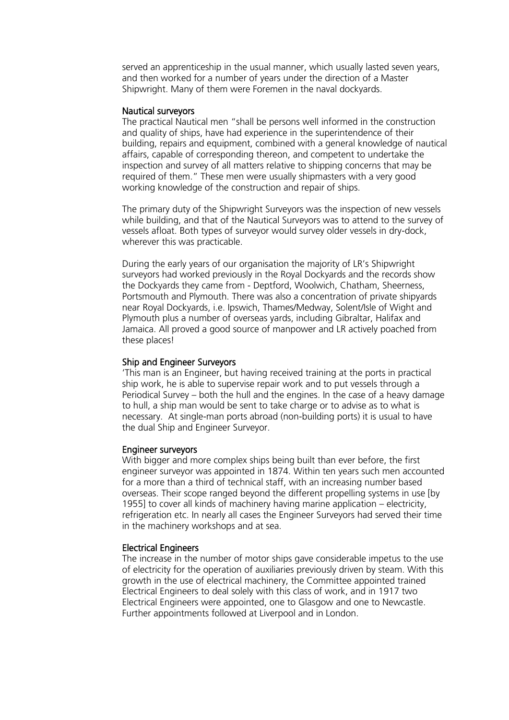served an apprenticeship in the usual manner, which usually lasted seven years, and then worked for a number of years under the direction of a Master Shipwright. Many of them were Foremen in the naval dockyards.

### Nautical surveyors

The practical Nautical men "shall be persons well informed in the construction and quality of ships, have had experience in the superintendence of their building, repairs and equipment, combined with a general knowledge of nautical affairs, capable of corresponding thereon, and competent to undertake the inspection and survey of all matters relative to shipping concerns that may be required of them." These men were usually shipmasters with a very good working knowledge of the construction and repair of ships.

The primary duty of the Shipwright Surveyors was the inspection of new vessels while building, and that of the Nautical Surveyors was to attend to the survey of vessels afloat. Both types of surveyor would survey older vessels in dry-dock, wherever this was practicable.

During the early years of our organisation the majority of LR's Shipwright surveyors had worked previously in the Royal Dockyards and the records show the Dockyards they came from - Deptford, Woolwich, Chatham, Sheerness, Portsmouth and Plymouth. There was also a concentration of private shipyards near Royal Dockyards, i.e. Ipswich, Thames/Medway, Solent/Isle of Wight and Plymouth plus a number of overseas yards, including Gibraltar, Halifax and Jamaica. All proved a good source of manpower and LR actively poached from these places!

# Ship and Engineer Surveyors

'This man is an Engineer, but having received training at the ports in practical ship work, he is able to supervise repair work and to put vessels through a Periodical Survey – both the hull and the engines. In the case of a heavy damage to hull, a ship man would be sent to take charge or to advise as to what is necessary. At single-man ports abroad (non-building ports) it is usual to have the dual Ship and Engineer Surveyor.

### Engineer surveyors

With bigger and more complex ships being built than ever before, the first engineer surveyor was appointed in 1874. Within ten years such men accounted for a more than a third of technical staff, with an increasing number based overseas. Their scope ranged beyond the different propelling systems in use [by 1955] to cover all kinds of machinery having marine application – electricity, refrigeration etc. In nearly all cases the Engineer Surveyors had served their time in the machinery workshops and at sea.

# Electrical Engineers

The increase in the number of motor ships gave considerable impetus to the use of electricity for the operation of auxiliaries previously driven by steam. With this growth in the use of electrical machinery, the Committee appointed trained Electrical Engineers to deal solely with this class of work, and in 1917 two Electrical Engineers were appointed, one to Glasgow and one to Newcastle. Further appointments followed at Liverpool and in London.

**Lloyd's Register Foundation Heritage & Education** vd's Register Foundat<br>
itage & Education<br>
titre<br>
Eenchurch Street<br>
don<br>
M 4BS<br>
ted Kingdom<br>
ation map<br>
44 (0)20 7423 2475<br>
44 (0)20 7423 2039<br>
nfo@lr.org

**Infosheet**

71 Fenchurch Street London enciarum Street<br>desc

Echaen<br>EC3M 4BS Loom 156<br>United Kingdom  $\mathcal{L}$ 

**Centre**

#### Location map

T: +44 (0)20 7423 2475 F: +44 (0)20 7423 2039<br>-**E:** info@lr.org Fax: +44 (0)20 7423 2039

www.lrfoundation.org.uk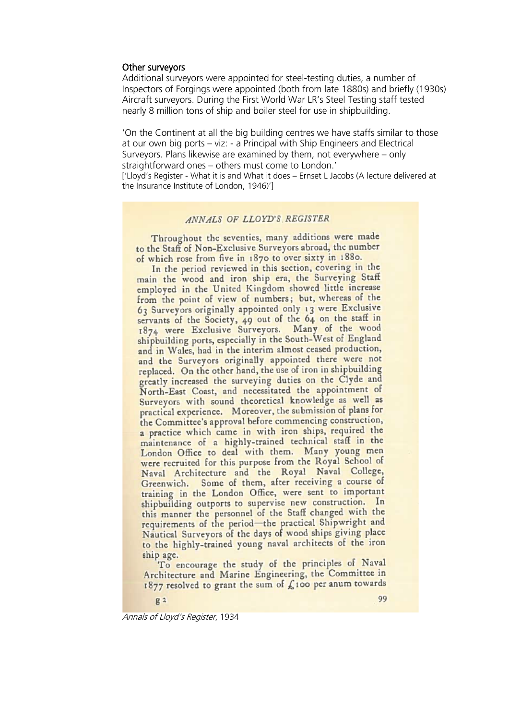#### Other surveyors

**Infosheet**

**Lloyd's Register Foundation Heritage & Education**

rd's Register Foundat<br>
itage & Education<br>
tre<br>
Eenchurch Street<br>
don<br>
M 4BS<br>
ted Kingdom<br>
ation map<br>
44 (0)20 7423 2475<br>
44 (0)20 7423 2039<br>
mfo@lr.org

eneraten sereet<br>don

71 Fenchurch Street

EC3M 4BS United Kingdom

**Location map** T: +44 (0)20 7423 2475 **F:** +44 (0)20 7423 2039 Fax: +44 (0)20 7423 2039

www.lrfoundation.org.uk

Lloyd's Register Foundation

 $E(0)$ 

**E:** info@lr.org

**Centre**

London

Additional surveyors were appointed for steel-testing duties, a number of Inspectors of Forgings were appointed (both from late 1880s) and briefly (1930s) Aircraft surveyors. During the First World War LR's Steel Testing staff tested nearly 8 million tons of ship and boiler steel for use in shipbuilding.

'On the Continent at all the big building centres we have staffs similar to those at our own big ports – viz: - a Principal with Ship Engineers and Electrical Surveyors. Plans likewise are examined by them, not everywhere – only straightforward ones – others must come to London.' ['Lloyd's Register - What it is and What it does – Ernset L Jacobs (A lecture delivered at the Insurance Institute of London, 1946)']

#### ANNALS OF LLOYD'S REGISTER

Throughout the seventies, many additions were made to the Staff of Non-Exclusive Surveyors abroad, the number of which rose from five in 1870 to over sixty in 1880.

In the period reviewed in this section, covering in the main the wood and iron ship era, the Surveying Staff employed in the United Kingdom showed little increase from the point of view of numbers; but, whereas of the 63 Surveyors originally appointed only 13 were Exclusive servants of the Society, 49 out of the 64 on the staff in 1874 were Exclusive Surveyors. Many of the wood shipbuilding ports, especially in the South-West of England and in Wales, had in the interim almost ceased production, and the Surveyors originally appointed there were not replaced. On the other hand, the use of iron in shipbuilding greatly increased the surveying duties on the Clyde and North-East Coast, and necessitated the appointment of Surveyors with sound theoretical knowledge as well as practical experience. Moreover, the submission of plans for the Committee's approval before commencing construction, a practice which came in with iron ships, required the maintenance of a highly-trained technical staff in the London Office to deal with them. Many young men were recruited for this purpose from the Royal School of Naval Architecture and the Royal Naval College, Greenwich. Some of them, after receiving a course of training in the London Office, were sent to important shipbuilding outports to supervise new construction. In this manner the personnel of the Staff changed with the requirements of the period-the practical Shipwright and Nautical Surveyors of the days of wood ships giving place to the highly-trained young naval architects of the iron ship age.

To encourage the study of the principles of Naval Architecture and Marine Engineering, the Committee in 1877 resolved to grant the sum of £100 per anum towards

 $g2$ 

Annals of Lloyd's Register, 1934

99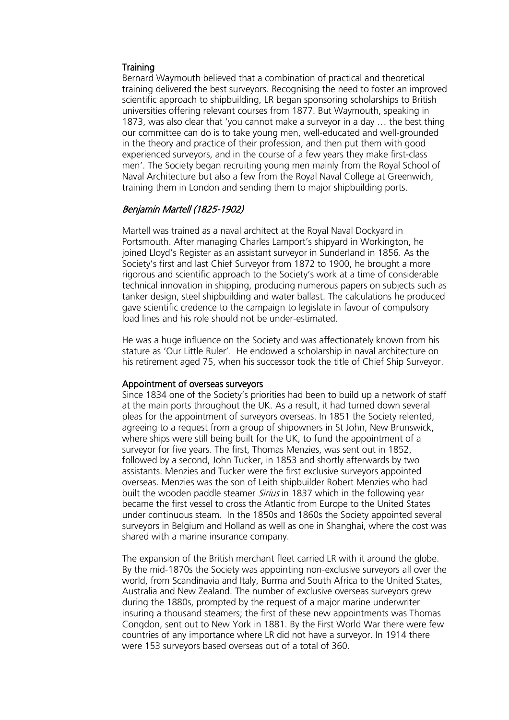### **Training**

Bernard Waymouth believed that a combination of practical and theoretical training delivered the best surveyors. Recognising the need to foster an improved scientific approach to shipbuilding, LR began sponsoring scholarships to British universities offering relevant courses from 1877. But Waymouth, speaking in 1873, was also clear that 'you cannot make a surveyor in a day … the best thing our committee can do is to take young men, well-educated and well-grounded in the theory and practice of their profession, and then put them with good experienced surveyors, and in the course of a few years they make first-class men'. The Society began recruiting young men mainly from the Royal School of Naval Architecture but also a few from the Royal Naval College at Greenwich, training them in London and sending them to major shipbuilding ports.

# Benjamin Martell (1825-1902)

Martell was trained as a naval architect at the Royal Naval Dockyard in Portsmouth. After managing Charles Lamport's shipyard in Workington, he joined Lloyd's Register as an assistant surveyor in Sunderland in 1856. As the Society's first and last Chief Surveyor from 1872 to 1900, he brought a more rigorous and scientific approach to the Society's work at a time of considerable technical innovation in shipping, producing numerous papers on subjects such as tanker design, steel shipbuilding and water ballast. The calculations he produced gave scientific credence to the campaign to legislate in favour of compulsory load lines and his role should not be under-estimated.

He was a huge influence on the Society and was affectionately known from his stature as 'Our Little Ruler'. He endowed a scholarship in naval architecture on his retirement aged 75, when his successor took the title of Chief Ship Surveyor.

### Appointment of overseas surveyors

Since 1834 one of the Society's priorities had been to build up a network of staff at the main ports throughout the UK. As a result, it had turned down several pleas for the appointment of surveyors overseas. In 1851 the Society relented, agreeing to a request from a group of shipowners in St John, New Brunswick, where ships were still being built for the UK, to fund the appointment of a surveyor for five years. The first, Thomas Menzies, was sent out in 1852, followed by a second, John Tucker, in 1853 and shortly afterwards by two assistants. Menzies and Tucker were the first exclusive surveyors appointed overseas. Menzies was the son of Leith shipbuilder Robert Menzies who had built the wooden paddle steamer *Sirius* in 1837 which in the following year became the first vessel to cross the Atlantic from Europe to the United States under continuous steam. In the 1850s and 1860s the Society appointed several surveyors in Belgium and Holland as well as one in Shanghai, where the cost was shared with a marine insurance company.

The expansion of the British merchant fleet carried LR with it around the globe. By the mid-1870s the Society was appointing non-exclusive surveyors all over the world, from Scandinavia and Italy, Burma and South Africa to the United States, Australia and New Zealand. The number of exclusive overseas surveyors grew during the 1880s, prompted by the request of a major marine underwriter insuring a thousand steamers; the first of these new appointments was Thomas Congdon, sent out to New York in 1881. By the First World War there were few countries of any importance where LR did not have a surveyor. In 1914 there were 153 surveyors based overseas out of a total of 360.

**Lloyd's Register Foundation Heritage & Education Centre**

**Infosheet**

71 Fenchurch Street , , , , enemater, server<br>London EC3M 4BS United Kingdom

#### **Location map**

T: +44 (0)20 7423 2475 **F:** +44 (0)20 7423 2039 Fax: +44 (0)20 7423 2039 **E:** info@lr.org  $E(0)$ rd's Register Foundat<br>
itage & Education<br>
tre<br>
Eenchurch Street<br>
don<br>
M 4BS<br>
ted Kingdom<br>
ation map<br>
44 (0)20 7423 2475<br>
44 (0)20 7423 2039<br>
mfo@lr.org

www.lrfoundation.org.uk

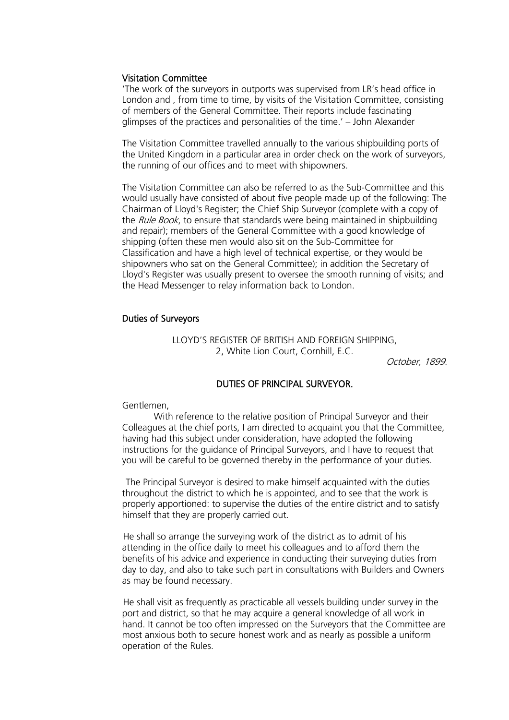### Visitation Committee

'The work of the surveyors in outports was supervised from LR's head office in London and , from time to time, by visits of the Visitation Committee, consisting of members of the General Committee. Their reports include fascinating glimpses of the practices and personalities of the time.' – John Alexander

The Visitation Committee travelled annually to the various shipbuilding ports of the United Kingdom in a particular area in order check on the work of surveyors, the running of our offices and to meet with shipowners.

The Visitation Committee can also be referred to as the Sub-Committee and this would usually have consisted of about five people made up of the following: The Chairman of Lloyd's Register; the Chief Ship Surveyor (complete with a copy of the Rule Book, to ensure that standards were being maintained in shipbuilding and repair); members of the General Committee with a good knowledge of shipping (often these men would also sit on the Sub-Committee for Classification and have a high level of technical expertise, or they would be shipowners who sat on the General Committee); in addition the Secretary of Lloyd's Register was usually present to oversee the smooth running of visits; and the Head Messenger to relay information back to London.

## Duties of Surveyors

LLOYD'S REGISTER OF BRITISH AND FOREIGN SHIPPING, 2, White Lion Court, Cornhill, E.C.

October, 1899.

### DUTIES OF PRINCIPAL SURVEYOR.

Gentlemen,

 With reference to the relative position of Principal Surveyor and their Colleagues at the chief ports, I am directed to acquaint you that the Committee, having had this subject under consideration, have adopted the following instructions for the guidance of Principal Surveyors, and I have to request that you will be careful to be governed thereby in the performance of your duties.

 The Principal Surveyor is desired to make himself acquainted with the duties throughout the district to which he is appointed, and to see that the work is properly apportioned: to supervise the duties of the entire district and to satisfy himself that they are properly carried out.

He shall so arrange the surveying work of the district as to admit of his attending in the office daily to meet his colleagues and to afford them the benefits of his advice and experience in conducting their surveying duties from day to day, and also to take such part in consultations with Builders and Owners as may be found necessary.

He shall visit as frequently as practicable all vessels building under survey in the port and district, so that he may acquire a general knowledge of all work in hand. It cannot be too often impressed on the Surveyors that the Committee are most anxious both to secure honest work and as nearly as possible a uniform operation of the Rules.

**Lloyd's Register Foundation Heritage & Education Centre**

**Infosheet**

71 Fenchurch Street , , , , enemater, server<br>London EC3M 4BS United Kingdom

#### **Location map**

T: +44 (0)20 7423 2475 **F:** +44 (0)20 7423 2039 Fax: +44 (0)20 7423 2039 **E:** info@lr.org  $E(0)$ rd's Register Foundat<br>
itage & Education<br>
tre<br>
Eenchurch Street<br>
don<br>
M 4BS<br>
ted Kingdom<br>
ation map<br>
44 (0)20 7423 2475<br>
44 (0)20 7423 2039<br>
mfo@lr.org

www.lrfoundation.org.uk

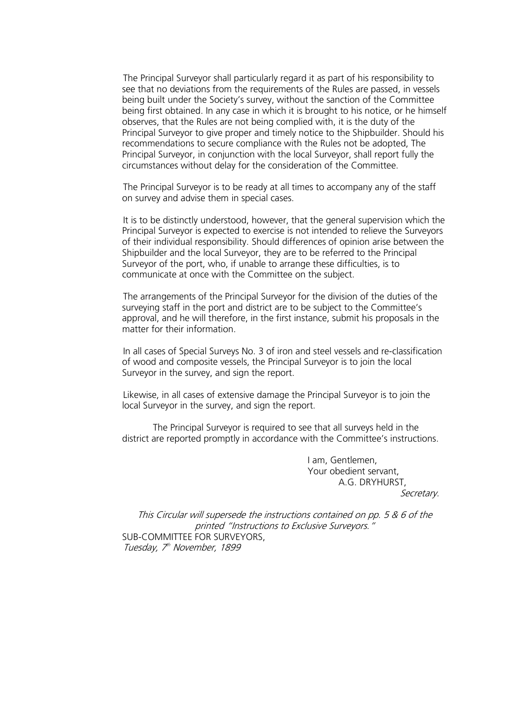**Infosheet** rd's Register Foundat<br>
itage & Education<br>
tre<br>
Eenchurch Street<br>
don<br>
M 4BS<br>
ted Kingdom<br>
ation map<br>
44 (0)20 7423 2475<br>
44 (0)20 7423 2039<br>
mfo@lr.org

**Lloyd's Register Foundation Heritage & Education Centre**

71 Fenchurch Street , , , , enemater, server<br>London EC3M 4BS United Kingdom

#### **Location map**

T: +44 (0)20 7423 2475 **F:** +44 (0)20 7423 2039 Fax: +44 (0)20 7423 2039 **E:** info@lr.org  $E(0)$ 

www.lrfoundation.org.uk



Lloyd's Register

The Principal Surveyor shall particularly regard it as part of his responsibility to see that no deviations from the requirements of the Rules are passed, in vessels being built under the Society's survey, without the sanction of the Committee being first obtained. In any case in which it is brought to his notice, or he himself observes, that the Rules are not being complied with, it is the duty of the Principal Surveyor to give proper and timely notice to the Shipbuilder. Should his recommendations to secure compliance with the Rules not be adopted, The Principal Surveyor, in conjunction with the local Surveyor, shall report fully the circumstances without delay for the consideration of the Committee.

The Principal Surveyor is to be ready at all times to accompany any of the staff on survey and advise them in special cases.

It is to be distinctly understood, however, that the general supervision which the Principal Surveyor is expected to exercise is not intended to relieve the Surveyors of their individual responsibility. Should differences of opinion arise between the Shipbuilder and the local Surveyor, they are to be referred to the Principal Surveyor of the port, who, if unable to arrange these difficulties, is to communicate at once with the Committee on the subject.

The arrangements of the Principal Surveyor for the division of the duties of the surveying staff in the port and district are to be subject to the Committee's approval, and he will therefore, in the first instance, submit his proposals in the matter for their information.

In all cases of Special Surveys No. 3 of iron and steel vessels and re-classification of wood and composite vessels, the Principal Surveyor is to join the local Surveyor in the survey, and sign the report.

Likewise, in all cases of extensive damage the Principal Surveyor is to join the local Surveyor in the survey, and sign the report.

The Principal Surveyor is required to see that all surveys held in the district are reported promptly in accordance with the Committee's instructions.

> I am, Gentlemen, Your obedient servant, A.G. DRYHURST,

Secretary.

This Circular will supersede the instructions contained on pp. 5 & 6 of the printed "Instructions to Exclusive Surveyors." SUB-COMMITTEE FOR SURVEYORS,

Tuesday, 7<sup>th</sup> November, 1899